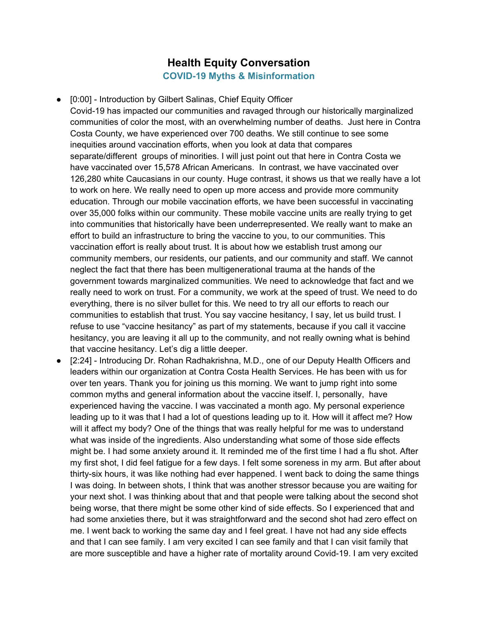## **Health Equity Conversation COVID-19 Myths & Misinformation**

● [0:00] - Introduction by Gilbert Salinas, Chief Equity Officer

Covid-19 has impacted our communities and ravaged through our historically marginalized communities of color the most, with an overwhelming number of deaths. Just here in Contra Costa County, we have experienced over 700 deaths. We still continue to see some inequities around vaccination efforts, when you look at data that compares separate/different groups of minorities. I will just point out that here in Contra Costa we have vaccinated over 15,578 African Americans. In contrast, we have vaccinated over 126,280 white Caucasians in our county. Huge contrast, it shows us that we really have a lot to work on here. We really need to open up more access and provide more community education. Through our mobile vaccination efforts, we have been successful in vaccinating over 35,000 folks within our community. These mobile vaccine units are really trying to get into communities that historically have been underrepresented. We really want to make an effort to build an infrastructure to bring the vaccine to you, to our communities. This vaccination effort is really about trust. It is about how we establish trust among our community members, our residents, our patients, and our community and staff. We cannot neglect the fact that there has been multigenerational trauma at the hands of the government towards marginalized communities. We need to acknowledge that fact and we really need to work on trust. For a community, we work at the speed of trust. We need to do everything, there is no silver bullet for this. We need to try all our efforts to reach our communities to establish that trust. You say vaccine hesitancy, I say, let us build trust. I refuse to use "vaccine hesitancy" as part of my statements, because if you call it vaccine hesitancy, you are leaving it all up to the community, and not really owning what is behind that vaccine hesitancy. Let's dig a little deeper.

● [2:24] - Introducing Dr. Rohan Radhakrishna, M.D., one of our Deputy Health Officers and leaders within our organization at Contra Costa Health Services. He has been with us for over ten years. Thank you for joining us this morning. We want to jump right into some common myths and general information about the vaccine itself. I, personally, have experienced having the vaccine. I was vaccinated a month ago. My personal experience leading up to it was that I had a lot of questions leading up to it. How will it affect me? How will it affect my body? One of the things that was really helpful for me was to understand what was inside of the ingredients. Also understanding what some of those side effects might be. I had some anxiety around it. It reminded me of the first time I had a flu shot. After my first shot, I did feel fatigue for a few days. I felt some soreness in my arm. But after about thirty-six hours, it was like nothing had ever happened. I went back to doing the same things I was doing. In between shots, I think that was another stressor because you are waiting for your next shot. I was thinking about that and that people were talking about the second shot being worse, that there might be some other kind of side effects. So I experienced that and had some anxieties there, but it was straightforward and the second shot had zero effect on me. I went back to working the same day and I feel great. I have not had any side effects and that I can see family. I am very excited I can see family and that I can visit family that are more susceptible and have a higher rate of mortality around Covid-19. I am very excited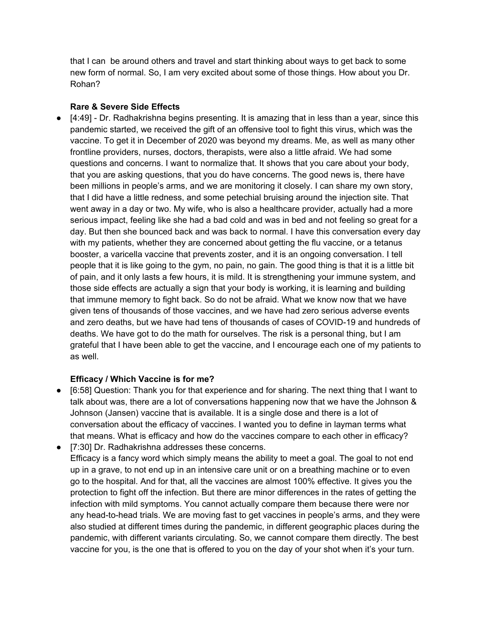that I can be around others and travel and start thinking about ways to get back to some new form of normal. So, I am very excited about some of those things. How about you Dr. Rohan?

## **Rare & Severe Side Effects**

● [4:49] - Dr. Radhakrishna begins presenting. It is amazing that in less than a year, since this pandemic started, we received the gift of an offensive tool to fight this virus, which was the vaccine. To get it in December of 2020 was beyond my dreams. Me, as well as many other frontline providers, nurses, doctors, therapists, were also a little afraid. We had some questions and concerns. I want to normalize that. It shows that you care about your body, that you are asking questions, that you do have concerns. The good news is, there have been millions in people's arms, and we are monitoring it closely. I can share my own story, that I did have a little redness, and some petechial bruising around the injection site. That went away in a day or two. My wife, who is also a healthcare provider, actually had a more serious impact, feeling like she had a bad cold and was in bed and not feeling so great for a day. But then she bounced back and was back to normal. I have this conversation every day with my patients, whether they are concerned about getting the flu vaccine, or a tetanus booster, a varicella vaccine that prevents zoster, and it is an ongoing conversation. I tell people that it is like going to the gym, no pain, no gain. The good thing is that it is a little bit of pain, and it only lasts a few hours, it is mild. It is strengthening your immune system, and those side effects are actually a sign that your body is working, it is learning and building that immune memory to fight back. So do not be afraid. What we know now that we have given tens of thousands of those vaccines, and we have had zero serious adverse events and zero deaths, but we have had tens of thousands of cases of COVID-19 and hundreds of deaths. We have got to do the math for ourselves. The risk is a personal thing, but I am grateful that I have been able to get the vaccine, and I encourage each one of my patients to as well.

## **Efficacy / Which Vaccine is for me?**

- [6:58] Question: Thank you for that experience and for sharing. The next thing that I want to talk about was, there are a lot of conversations happening now that we have the Johnson & Johnson (Jansen) vaccine that is available. It is a single dose and there is a lot of conversation about the efficacy of vaccines. I wanted you to define in layman terms what that means. What is efficacy and how do the vaccines compare to each other in efficacy?
- [7:30] Dr. Radhakrishna addresses these concerns. Efficacy is a fancy word which simply means the ability to meet a goal. The goal to not end up in a grave, to not end up in an intensive care unit or on a breathing machine or to even go to the hospital. And for that, all the vaccines are almost 100% effective. It gives you the protection to fight off the infection. But there are minor differences in the rates of getting the infection with mild symptoms. You cannot actually compare them because there were nor any head-to-head trials. We are moving fast to get vaccines in people's arms, and they were also studied at different times during the pandemic, in different geographic places during the pandemic, with different variants circulating. So, we cannot compare them directly. The best vaccine for you, is the one that is offered to you on the day of your shot when it's your turn.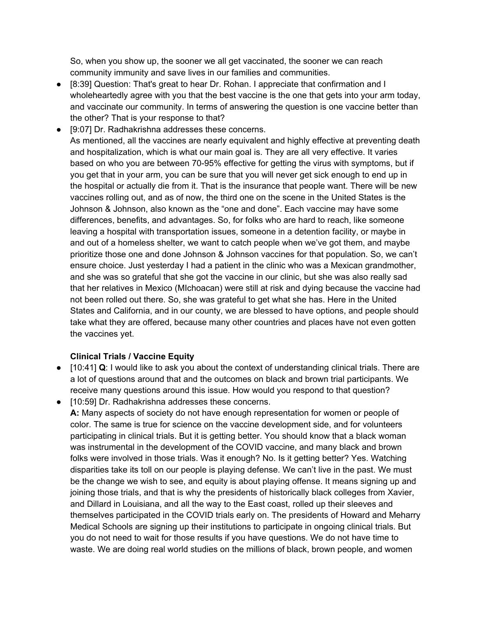So, when you show up, the sooner we all get vaccinated, the sooner we can reach community immunity and save lives in our families and communities.

- [8:39] Question: That's great to hear Dr. Rohan. I appreciate that confirmation and I wholeheartedly agree with you that the best vaccine is the one that gets into your arm today, and vaccinate our community. In terms of answering the question is one vaccine better than the other? That is your response to that?
- [9:07] Dr. Radhakrishna addresses these concerns. As mentioned, all the vaccines are nearly equivalent and highly effective at preventing death and hospitalization, which is what our main goal is. They are all very effective. It varies based on who you are between 70-95% effective for getting the virus with symptoms, but if you get that in your arm, you can be sure that you will never get sick enough to end up in the hospital or actually die from it. That is the insurance that people want. There will be new vaccines rolling out, and as of now, the third one on the scene in the United States is the Johnson & Johnson, also known as the "one and done". Each vaccine may have some differences, benefits, and advantages. So, for folks who are hard to reach, like someone leaving a hospital with transportation issues, someone in a detention facility, or maybe in and out of a homeless shelter, we want to catch people when we've got them, and maybe prioritize those one and done Johnson & Johnson vaccines for that population. So, we can't ensure choice. Just yesterday I had a patient in the clinic who was a Mexican grandmother, and she was so grateful that she got the vaccine in our clinic, but she was also really sad that her relatives in Mexico (MIchoacan) were still at risk and dying because the vaccine had not been rolled out there. So, she was grateful to get what she has. Here in the United States and California, and in our county, we are blessed to have options, and people should take what they are offered, because many other countries and places have not even gotten the vaccines yet.

## **Clinical Trials / Vaccine Equity**

- [10:41] **Q**: I would like to ask you about the context of understanding clinical trials. There are a lot of questions around that and the outcomes on black and brown trial participants. We receive many questions around this issue. How would you respond to that question?
- [10:59] Dr. Radhakrishna addresses these concerns.

**A:** Many aspects of society do not have enough representation for women or people of color. The same is true for science on the vaccine development side, and for volunteers participating in clinical trials. But it is getting better. You should know that a black woman was instrumental in the development of the COVID vaccine, and many black and brown folks were involved in those trials. Was it enough? No. Is it getting better? Yes. Watching disparities take its toll on our people is playing defense. We can't live in the past. We must be the change we wish to see, and equity is about playing offense. It means signing up and joining those trials, and that is why the presidents of historically black colleges from Xavier, and Dillard in Louisiana, and all the way to the East coast, rolled up their sleeves and themselves participated in the COVID trials early on. The presidents of Howard and Meharry Medical Schools are signing up their institutions to participate in ongoing clinical trials. But you do not need to wait for those results if you have questions. We do not have time to waste. We are doing real world studies on the millions of black, brown people, and women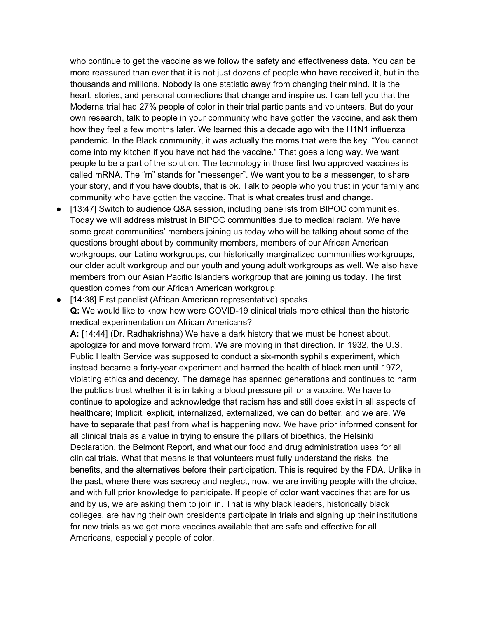who continue to get the vaccine as we follow the safety and effectiveness data. You can be more reassured than ever that it is not just dozens of people who have received it, but in the thousands and millions. Nobody is one statistic away from changing their mind. It is the heart, stories, and personal connections that change and inspire us. I can tell you that the Moderna trial had 27% people of color in their trial participants and volunteers. But do your own research, talk to people in your community who have gotten the vaccine, and ask them how they feel a few months later. We learned this a decade ago with the H1N1 influenza pandemic. In the Black community, it was actually the moms that were the key. "You cannot come into my kitchen if you have not had the vaccine." That goes a long way. We want people to be a part of the solution. The technology in those first two approved vaccines is called mRNA. The "m" stands for "messenger". We want you to be a messenger, to share your story, and if you have doubts, that is ok. Talk to people who you trust in your family and community who have gotten the vaccine. That is what creates trust and change.

- [13:47] Switch to audience Q&A session, including panelists from BIPOC communities. Today we will address mistrust in BIPOC communities due to medical racism. We have some great communities' members joining us today who will be talking about some of the questions brought about by community members, members of our African American workgroups, our Latino workgroups, our historically marginalized communities workgroups, our older adult workgroup and our youth and young adult workgroups as well. We also have members from our Asian Pacific Islanders workgroup that are joining us today. The first question comes from our African American workgroup.
- [14:38] First panelist (African American representative) speaks. **Q:** We would like to know how were COVID-19 clinical trials more ethical than the historic medical experimentation on African Americans?

**A:** [14:44] (Dr. Radhakrishna) We have a dark history that we must be honest about, apologize for and move forward from. We are moving in that direction. In 1932, the U.S. Public Health Service was supposed to conduct a six-month syphilis experiment, which instead became a forty-year experiment and harmed the health of black men until 1972, violating ethics and decency. The damage has spanned generations and continues to harm the public's trust whether it is in taking a blood pressure pill or a vaccine. We have to continue to apologize and acknowledge that racism has and still does exist in all aspects of healthcare; Implicit, explicit, internalized, externalized, we can do better, and we are. We have to separate that past from what is happening now. We have prior informed consent for all clinical trials as a value in trying to ensure the pillars of bioethics, the Helsinki Declaration, the Belmont Report, and what our food and drug administration uses for all clinical trials. What that means is that volunteers must fully understand the risks, the benefits, and the alternatives before their participation. This is required by the FDA. Unlike in the past, where there was secrecy and neglect, now, we are inviting people with the choice, and with full prior knowledge to participate. If people of color want vaccines that are for us and by us, we are asking them to join in. That is why black leaders, historically black colleges, are having their own presidents participate in trials and signing up their institutions for new trials as we get more vaccines available that are safe and effective for all Americans, especially people of color.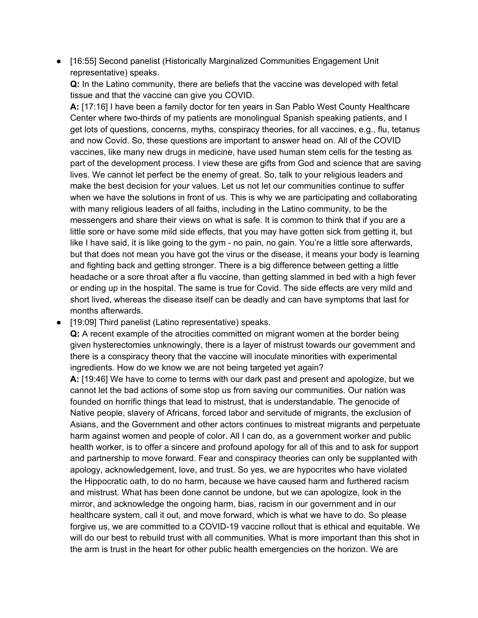● [16:55] Second panelist (Historically Marginalized Communities Engagement Unit representative) speaks.

**Q:** In the Latino community, there are beliefs that the vaccine was developed with fetal tissue and that the vaccine can give you COVID.

**A:** [17:16] I have been a family doctor for ten years in San Pablo West County Healthcare Center where two-thirds of my patients are monolingual Spanish speaking patients, and I get lots of questions, concerns, myths, conspiracy theories, for all vaccines, e.g., flu, tetanus and now Covid. So, these questions are important to answer head on. All of the COVID vaccines, like many new drugs in medicine, have used human stem cells for the testing as part of the development process. I view these are gifts from God and science that are saving lives. We cannot let perfect be the enemy of great. So, talk to your religious leaders and make the best decision for your values. Let us not let our communities continue to suffer when we have the solutions in front of us. This is why we are participating and collaborating with many religious leaders of all faiths, including in the Latino community, to be the messengers and share their views on what is safe. It is common to think that if you are a little sore or have some mild side effects, that you may have gotten sick from getting it, but like I have said, it is like going to the gym - no pain, no gain. You're a little sore afterwards, but that does not mean you have got the virus or the disease, it means your body is learning and fighting back and getting stronger. There is a big difference between getting a little headache or a sore throat after a flu vaccine, than getting slammed in bed with a high fever or ending up in the hospital. The same is true for Covid. The side effects are very mild and short lived, whereas the disease itself can be deadly and can have symptoms that last for months afterwards.

● [19:09] Third panelist (Latino representative) speaks.

**Q:** A recent example of the atrocities committed on migrant women at the border being given hysterectomies unknowingly, there is a layer of mistrust towards our government and there is a conspiracy theory that the vaccine will inoculate minorities with experimental ingredients. How do we know we are not being targeted yet again?

**A:** [19:46] We have to come to terms with our dark past and present and apologize, but we cannot let the bad actions of some stop us from saving our communities. Our nation was founded on horrific things that lead to mistrust, that is understandable. The genocide of Native people, slavery of Africans, forced labor and servitude of migrants, the exclusion of Asians, and the Government and other actors continues to mistreat migrants and perpetuate harm against women and people of color. All I can do, as a government worker and public health worker, is to offer a sincere and profound apology for all of this and to ask for support and partnership to move forward. Fear and conspiracy theories can only be supplanted with apology, acknowledgement, love, and trust. So yes, we are hypocrites who have violated the Hippocratic oath, to do no harm, because we have caused harm and furthered racism and mistrust. What has been done cannot be undone, but we can apologize, look in the mirror, and acknowledge the ongoing harm, bias, racism in our government and in our healthcare system, call it out, and move forward, which is what we have to do. So please forgive us, we are committed to a COVID-19 vaccine rollout that is ethical and equitable. We will do our best to rebuild trust with all communities. What is more important than this shot in the arm is trust in the heart for other public health emergencies on the horizon. We are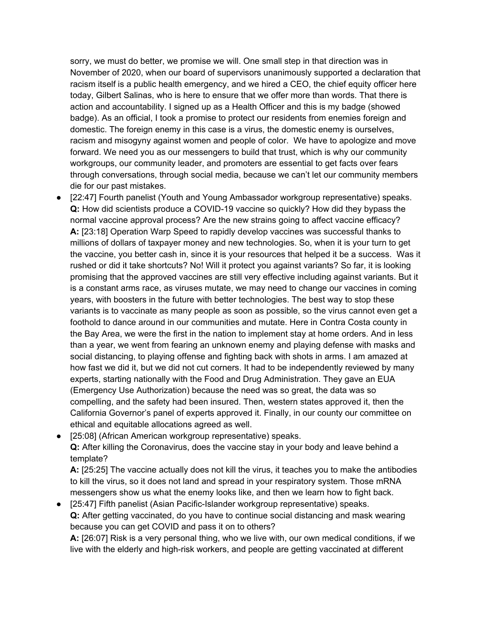sorry, we must do better, we promise we will. One small step in that direction was in November of 2020, when our board of supervisors unanimously supported a declaration that racism itself is a public health emergency, and we hired a CEO, the chief equity officer here today, Gilbert Salinas, who is here to ensure that we offer more than words. That there is action and accountability. I signed up as a Health Officer and this is my badge (showed badge). As an official, I took a promise to protect our residents from enemies foreign and domestic. The foreign enemy in this case is a virus, the domestic enemy is ourselves, racism and misogyny against women and people of color. We have to apologize and move forward. We need you as our messengers to build that trust, which is why our community workgroups, our community leader, and promoters are essential to get facts over fears through conversations, through social media, because we can't let our community members die for our past mistakes.

● [22:47] Fourth panelist (Youth and Young Ambassador workgroup representative) speaks. **Q:** How did scientists produce a COVID-19 vaccine so quickly? How did they bypass the normal vaccine approval process? Are the new strains going to affect vaccine efficacy? **A:** [23:18] Operation Warp Speed to rapidly develop vaccines was successful thanks to millions of dollars of taxpayer money and new technologies. So, when it is your turn to get the vaccine, you better cash in, since it is your resources that helped it be a success. Was it rushed or did it take shortcuts? No! Will it protect you against variants? So far, it is looking promising that the approved vaccines are still very effective including against variants. But it is a constant arms race, as viruses mutate, we may need to change our vaccines in coming years, with boosters in the future with better technologies. The best way to stop these variants is to vaccinate as many people as soon as possible, so the virus cannot even get a foothold to dance around in our communities and mutate. Here in Contra Costa county in the Bay Area, we were the first in the nation to implement stay at home orders. And in less than a year, we went from fearing an unknown enemy and playing defense with masks and social distancing, to playing offense and fighting back with shots in arms. I am amazed at how fast we did it, but we did not cut corners. It had to be independently reviewed by many experts, starting nationally with the Food and Drug Administration. They gave an EUA (Emergency Use Authorization) because the need was so great, the data was so compelling, and the safety had been insured. Then, western states approved it, then the California Governor's panel of experts approved it. Finally, in our county our committee on ethical and equitable allocations agreed as well.

● [25:08] (African American workgroup representative) speaks. **Q:** After killing the Coronavirus, does the vaccine stay in your body and leave behind a template?

**A:** [25:25] The vaccine actually does not kill the virus, it teaches you to make the antibodies to kill the virus, so it does not land and spread in your respiratory system. Those mRNA messengers show us what the enemy looks like, and then we learn how to fight back.

● [25:47] Fifth panelist (Asian Pacific-Islander workgroup representative) speaks. **Q:** After getting vaccinated, do you have to continue social distancing and mask wearing because you can get COVID and pass it on to others?

**A:** [26:07] Risk is a very personal thing, who we live with, our own medical conditions, if we live with the elderly and high-risk workers, and people are getting vaccinated at different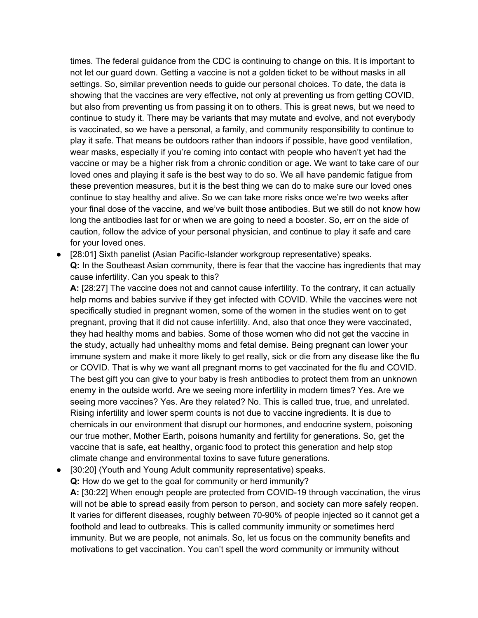times. The federal guidance from the CDC is continuing to change on this. It is important to not let our guard down. Getting a vaccine is not a golden ticket to be without masks in all settings. So, similar prevention needs to guide our personal choices. To date, the data is showing that the vaccines are very effective, not only at preventing us from getting COVID, but also from preventing us from passing it on to others. This is great news, but we need to continue to study it. There may be variants that may mutate and evolve, and not everybody is vaccinated, so we have a personal, a family, and community responsibility to continue to play it safe. That means be outdoors rather than indoors if possible, have good ventilation, wear masks, especially if you're coming into contact with people who haven't yet had the vaccine or may be a higher risk from a chronic condition or age. We want to take care of our loved ones and playing it safe is the best way to do so. We all have pandemic fatigue from these prevention measures, but it is the best thing we can do to make sure our loved ones continue to stay healthy and alive. So we can take more risks once we're two weeks after your final dose of the vaccine, and we've built those antibodies. But we still do not know how long the antibodies last for or when we are going to need a booster. So, err on the side of caution, follow the advice of your personal physician, and continue to play it safe and care for your loved ones.

● [28:01] Sixth panelist (Asian Pacific-Islander workgroup representative) speaks. **Q:** In the Southeast Asian community, there is fear that the vaccine has ingredients that may cause infertility. Can you speak to this?

**A:** [28:27] The vaccine does not and cannot cause infertility. To the contrary, it can actually help moms and babies survive if they get infected with COVID. While the vaccines were not specifically studied in pregnant women, some of the women in the studies went on to get pregnant, proving that it did not cause infertility. And, also that once they were vaccinated, they had healthy moms and babies. Some of those women who did not get the vaccine in the study, actually had unhealthy moms and fetal demise. Being pregnant can lower your immune system and make it more likely to get really, sick or die from any disease like the flu or COVID. That is why we want all pregnant moms to get vaccinated for the flu and COVID. The best gift you can give to your baby is fresh antibodies to protect them from an unknown enemy in the outside world. Are we seeing more infertility in modern times? Yes. Are we seeing more vaccines? Yes. Are they related? No. This is called true, true, and unrelated. Rising infertility and lower sperm counts is not due to vaccine ingredients. It is due to chemicals in our environment that disrupt our hormones, and endocrine system, poisoning our true mother, Mother Earth, poisons humanity and fertility for generations. So, get the vaccine that is safe, eat healthy, organic food to protect this generation and help stop climate change and environmental toxins to save future generations.

● [30:20] (Youth and Young Adult community representative) speaks.

**Q:** How do we get to the goal for community or herd immunity?

**A:** [30:22] When enough people are protected from COVID-19 through vaccination, the virus will not be able to spread easily from person to person, and society can more safely reopen. It varies for different diseases, roughly between 70-90% of people injected so it cannot get a foothold and lead to outbreaks. This is called community immunity or sometimes herd immunity. But we are people, not animals. So, let us focus on the community benefits and motivations to get vaccination. You can't spell the word community or immunity without